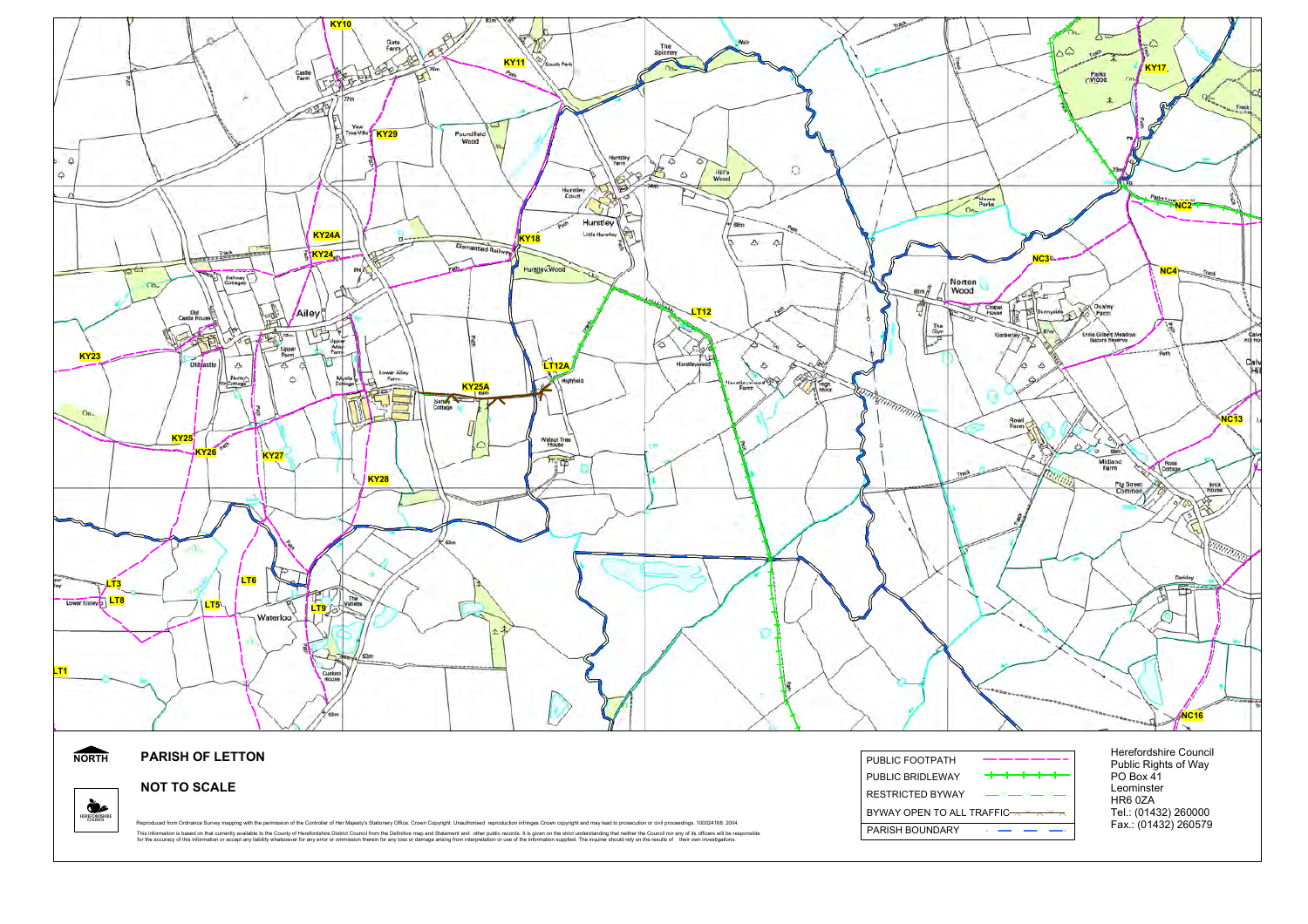

PARISH BOUNDARY

Reproduced from Ordnance Survey mapping with the permission of the Controller of Her Majesty's Stationery Office. Crown Copyright. Unauthorised reproduction infringes Crown copyright and may lead to prosecution or civil pr This information is based on that current) available to the County of Herefordshire District Council from the Definitive map and Statement and other public records it is given on the strict understandant members and the in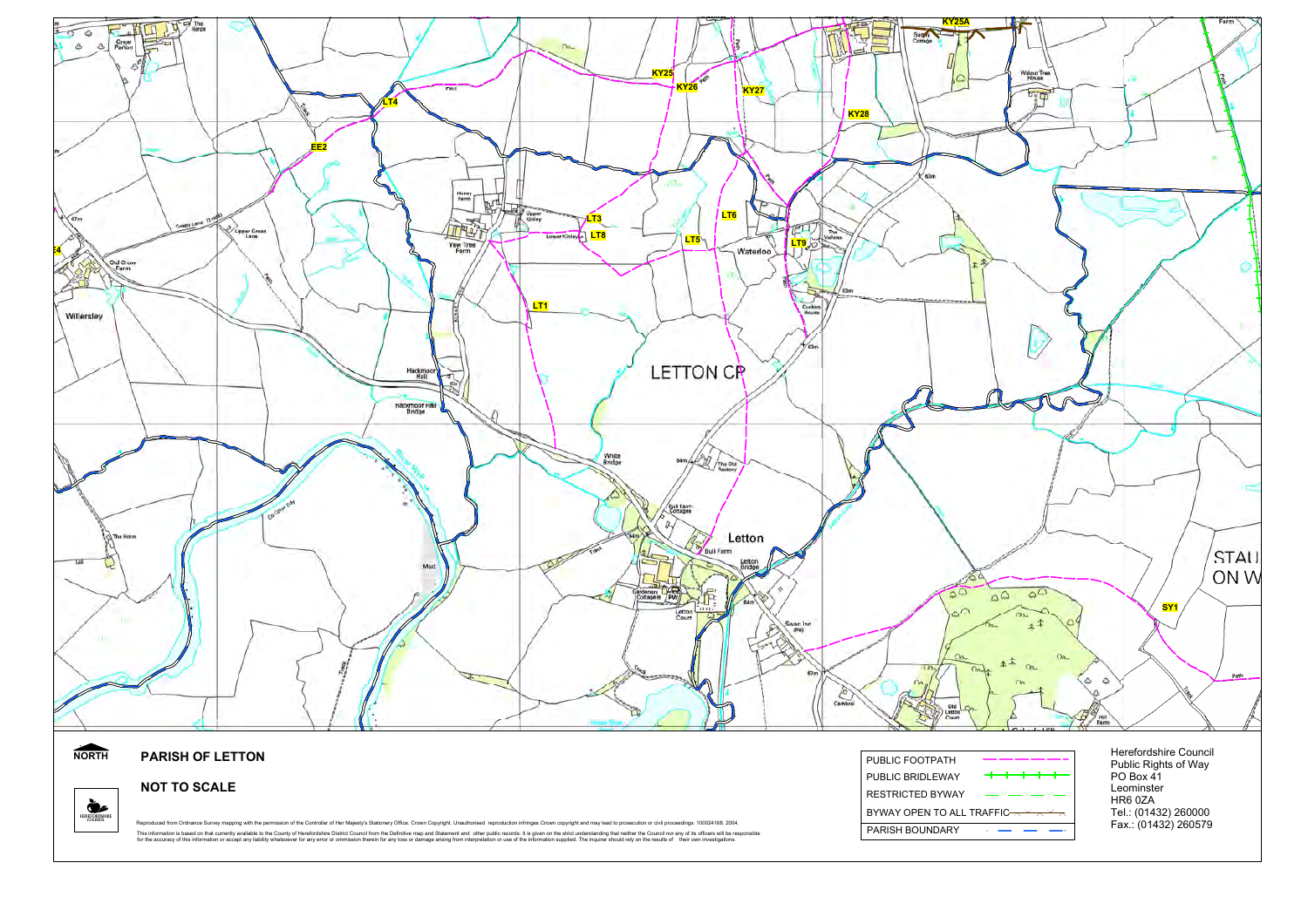

**NOT TO SCALE**

HEREFORDSHIRE

Reproduced from Ordnance Survey mapping with the permission of the Controller of Her Majesty's Stationery Office. Crown Copyright. Unauthorised reproduction infringes Crown copyright and may lead to prosecution or civil pr This information is based on that current) available to the County of Herefordshire District Council from the Definitive map and Statement and other public records it is given on the strict understandant members and the in

| PUBLIC FOOTPATH                                                                                                                                                                 |             |
|---------------------------------------------------------------------------------------------------------------------------------------------------------------------------------|-------------|
| PUBLIC BRIDLEWAY                                                                                                                                                                |             |
| <b>RESTRICTED BYWAY</b>                                                                                                                                                         | $        -$ |
| BYWAY OPEN TO ALL TRAFFIC $\overline{\phantom{a}}\hspace{0.1cm} \overline{\phantom{a}}\hspace{0.1cm} \overline{\phantom{a}}\hspace{0.1cm} \overline{\phantom{a}}\hspace{0.1cm}$ |             |
| PARISH BOUNDARY                                                                                                                                                                 |             |

PO Box 41 Leominster HR6 0ZATel.: (01432) 260000 Fax.: (01432) 260579